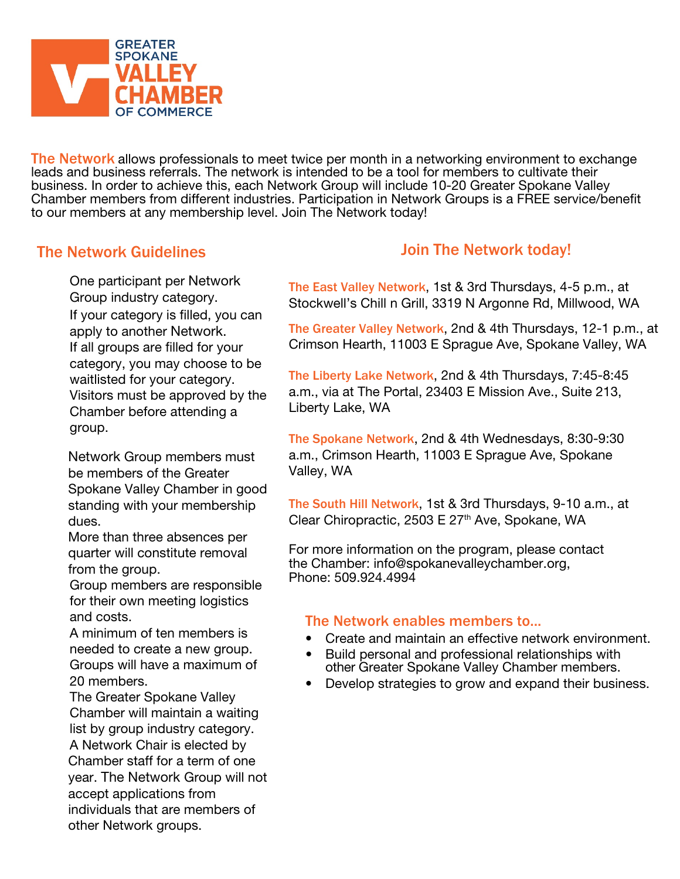

The Network allows professionals to meet twice per month in a networking environment to exchange leads and business referrals. The network is intended to be a tool for members to cultivate their business. In order to achieve this, each Network Group will include 10-20 Greater Spokane Valley Chamber members from different industries. Participation in Network Groups is a FREE service/benefit to our members at any membership level. Join The Network today!

## The Network Guidelines

One participant per Network Group industry category. If your category is filled, you can apply to another Network. If all groups are filled for your category, you may choose to be waitlisted for your category. Visitors must be approved by the Chamber before attending a group.

Network Group members must be members of the Greater Spokane Valley Chamber in good standing with your membership dues.

More than three absences per quarter will constitute removal from the group.

Group members are responsible for their own meeting logistics and costs.

A minimum of ten members is needed to create a new group. Groups will have a maximum of 20 members.

The Greater Spokane Valley Chamber will maintain a waiting list by group industry category. A Network Chair is elected by Chamber staff for a term of one year. The Network Group will not accept applications from individuals that are members of other Network groups.

## Join The Network today!

The East Valley Network, 1st & 3rd Thursdays, 4-5 p.m., at Stockwell's Chill n Grill, 3319 N Argonne Rd, Millwood, WA

The Greater Valley Network, 2nd & 4th Thursdays, 12-1 p.m., at Crimson Hearth, 11003 E Sprague Ave, Spokane Valley, WA

The Liberty Lake Network, 2nd & 4th Thursdays, 7:45-8:45 a.m., via at The Portal, 23403 E Mission Ave., Suite 213, Liberty Lake, WA

The Spokane Network, 2nd & 4th Wednesdays, 8:30-9:30 a.m., Crimson Hearth, 11003 E Sprague Ave, Spokane Valley, WA

The South Hill Network, 1st & 3rd Thursdays, 9-10 a.m., at Clear Chiropractic, 2503 E 27<sup>th</sup> Ave, Spokane, WA

For more information on the program, please contact the Chamber: info@spokanevalleychamber.org, Phone: 509.924.4994

## The Network enables members to...

- Create and maintain an effective network environment.
- Build personal and professional relationships with other Greater Spokane Valley Chamber members.
- Develop strategies to grow and expand their business.